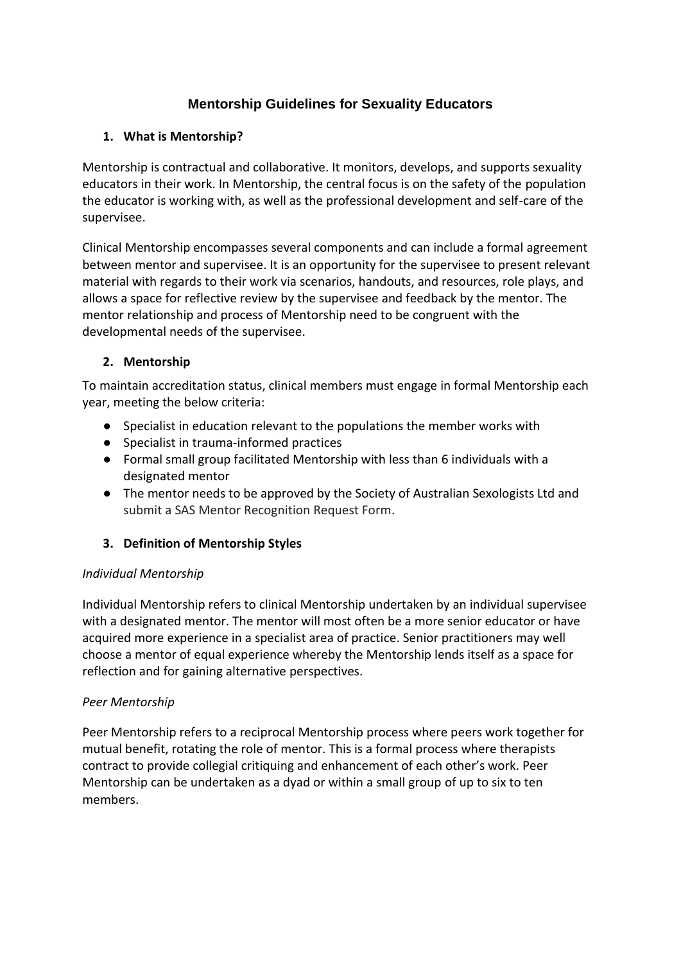# **Mentorship Guidelines for Sexuality Educators**

## **1. What is Mentorship?**

Mentorship is contractual and collaborative. It monitors, develops, and supports sexuality educators in their work. In Mentorship, the central focus is on the safety of the population the educator is working with, as well as the professional development and self-care of the supervisee.

Clinical Mentorship encompasses several components and can include a formal agreement between mentor and supervisee. It is an opportunity for the supervisee to present relevant material with regards to their work via scenarios, handouts, and resources, role plays, and allows a space for reflective review by the supervisee and feedback by the mentor. The mentor relationship and process of Mentorship need to be congruent with the developmental needs of the supervisee.

## **2. Mentorship**

To maintain accreditation status, clinical members must engage in formal Mentorship each year, meeting the below criteria:

- Specialist in education relevant to the populations the member works with
- Specialist in trauma-informed practices
- Formal small group facilitated Mentorship with less than 6 individuals with a designated mentor
- The mentor needs to be approved by the Society of Australian Sexologists Ltd and submit a SAS Mentor Recognition Request Form.

### **3. Definition of Mentorship Styles**

### *Individual Mentorship*

Individual Mentorship refers to clinical Mentorship undertaken by an individual supervisee with a designated mentor. The mentor will most often be a more senior educator or have acquired more experience in a specialist area of practice. Senior practitioners may well choose a mentor of equal experience whereby the Mentorship lends itself as a space for reflection and for gaining alternative perspectives.

### *Peer Mentorship*

Peer Mentorship refers to a reciprocal Mentorship process where peers work together for mutual benefit, rotating the role of mentor. This is a formal process where therapists contract to provide collegial critiquing and enhancement of each other's work. Peer Mentorship can be undertaken as a dyad or within a small group of up to six to ten members.